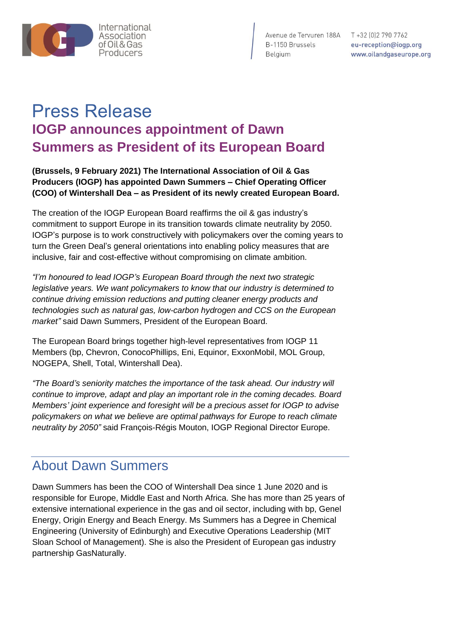

Avenue de Tervuren 188A T +32 [0] 2 790 7762

B-1150 Brussels<br>B-1150 Brussels<br>Belgium www.oilandgaseurope.org

# Press Release **IOGP announces appointment of Dawn Summers as President of its European Board**

**(Brussels, 9 February 2021) The International Association of Oil & Gas Producers (IOGP) has appointed Dawn Summers – Chief Operating Officer (COO) of Wintershall Dea – as President of its newly created European Board.**

The creation of the IOGP European Board reaffirms the oil & gas industry's commitment to support Europe in its transition towards climate neutrality by 2050. IOGP's purpose is to work constructively with policymakers over the coming years to turn the Green Deal's general orientations into enabling policy measures that are inclusive, fair and cost-effective without compromising on climate ambition.

*"I'm honoured to lead IOGP's European Board through the next two strategic legislative years. We want policymakers to know that our industry is determined to continue driving emission reductions and putting cleaner energy products and technologies such as natural gas, low-carbon hydrogen and CCS on the European market"* said Dawn Summers, President of the European Board.

The European Board brings together high-level representatives from IOGP 11 Members (bp, Chevron, ConocoPhillips, Eni, Equinor, ExxonMobil, MOL Group, NOGEPA, Shell, Total, Wintershall Dea).

*"The Board's seniority matches the importance of the task ahead. Our industry will continue to improve, adapt and play an important role in the coming decades. Board Members' joint experience and foresight will be a precious asset for IOGP to advise policymakers on what we believe are optimal pathways for Europe to reach climate neutrality by 2050"* said François-Régis Mouton, IOGP Regional Director Europe.

## About Dawn Summers

Dawn Summers has been the COO of Wintershall Dea since 1 June 2020 and is responsible for Europe, Middle East and North Africa. She has more than 25 years of extensive international experience in the gas and oil sector, including with bp, Genel Energy, Origin Energy and Beach Energy. Ms Summers has a Degree in Chemical Engineering (University of Edinburgh) and Executive Operations Leadership (MIT Sloan School of Management). She is also the President of European gas industry partnership GasNaturally.